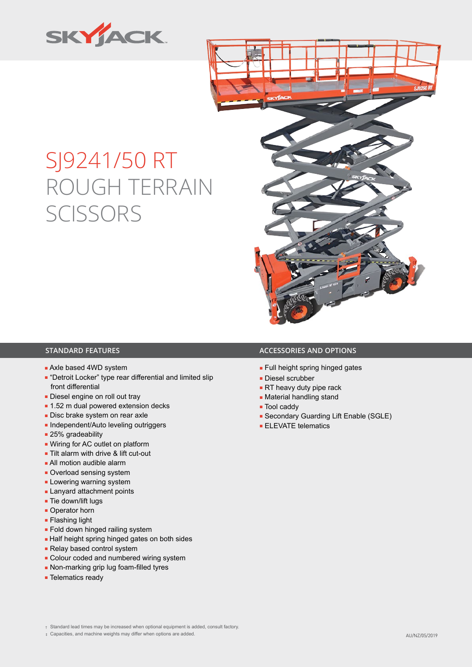



# SJ9241/50 RT ROUGH TERRAIN **SCISSORS**

- Axle based 4WD system
- "Detroit Locker" type rear differential and limited slip front differential
- Diesel engine on roll out tray
- 1.52 m dual powered extension decks
- Disc brake system on rear axle
- Independent/Auto leveling outriggers
- 25% gradeability
- Wiring for AC outlet on platform
- Tilt alarm with drive & lift cut-out
- All motion audible alarm
- Overload sensing system
- Lowering warning system
- Lanyard attachment points
- Tie down/lift lugs
- Operator horn
- Flashing light
- Fold down hinged railing system
- Half height spring hinged gates on both sides
- Relay based control system
- Colour coded and numbered wiring system
- Non-marking grip lug foam-filled tyres
- Telematics ready

#### **STANDARD FEATURES ACCESSORIES AND OPTIONS**

- Full height spring hinged gates
- Diesel scrubber
- RT heavy duty pipe rack
- Material handling stand
- Tool caddy
- Secondary Guarding Lift Enable (SGLE)
- **ELEVATE telematics**

‡ Capacities, and machine weights may differ when options are added. AU/NZ/05/2019

<sup>†</sup> Standard lead times may be increased when optional equipment is added, consult factory.